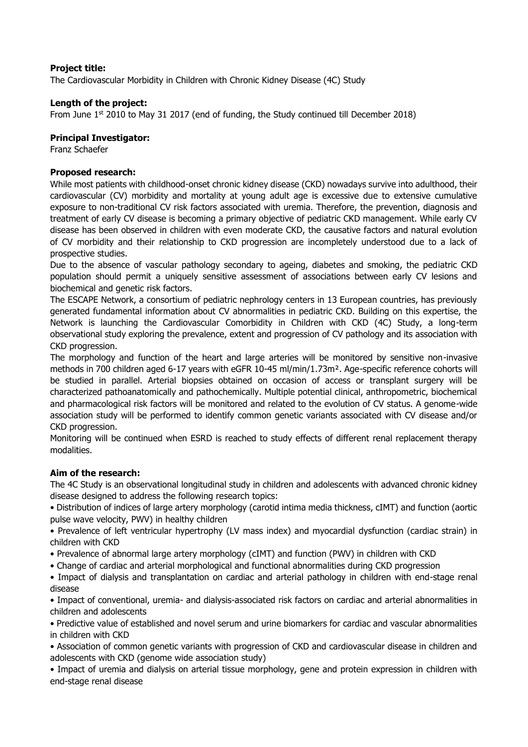## **Project title:**

The Cardiovascular Morbidity in Children with Chronic Kidney Disease (4C) Study

### **Length of the project:**

From June  $1<sup>st</sup>$  2010 to May 31 2017 (end of funding, the Study continued till December 2018)

#### **Principal Investigator:**

Franz Schaefer

### **Proposed research:**

While most patients with childhood-onset chronic kidney disease (CKD) nowadays survive into adulthood, their cardiovascular (CV) morbidity and mortality at young adult age is excessive due to extensive cumulative exposure to non-traditional CV risk factors associated with uremia. Therefore, the prevention, diagnosis and treatment of early CV disease is becoming a primary objective of pediatric CKD management. While early CV disease has been observed in children with even moderate CKD, the causative factors and natural evolution of CV morbidity and their relationship to CKD progression are incompletely understood due to a lack of prospective studies.

Due to the absence of vascular pathology secondary to ageing, diabetes and smoking, the pediatric CKD population should permit a uniquely sensitive assessment of associations between early CV lesions and biochemical and genetic risk factors.

The ESCAPE Network, a consortium of pediatric nephrology centers in 13 European countries, has previously generated fundamental information about CV abnormalities in pediatric CKD. Building on this expertise, the Network is launching the Cardiovascular Comorbidity in Children with CKD (4C) Study, a long-term observational study exploring the prevalence, extent and progression of CV pathology and its association with CKD progression.

The morphology and function of the heart and large arteries will be monitored by sensitive non-invasive methods in 700 children aged 6-17 years with eGFR 10-45 ml/min/1.73m<sup>2</sup>. Age-specific reference cohorts will be studied in parallel. Arterial biopsies obtained on occasion of access or transplant surgery will be characterized pathoanatomically and pathochemically. Multiple potential clinical, anthropometric, biochemical and pharmacological risk factors will be monitored and related to the evolution of CV status. A genome-wide association study will be performed to identify common genetic variants associated with CV disease and/or CKD progression.

Monitoring will be continued when ESRD is reached to study effects of different renal replacement therapy modalities.

## **Aim of the research:**

The 4C Study is an observational longitudinal study in children and adolescents with advanced chronic kidney disease designed to address the following research topics:

• Distribution of indices of large artery morphology (carotid intima media thickness, cIMT) and function (aortic pulse wave velocity, PWV) in healthy children

• Prevalence of left ventricular hypertrophy (LV mass index) and myocardial dysfunction (cardiac strain) in children with CKD

- Prevalence of abnormal large artery morphology (cIMT) and function (PWV) in children with CKD
- Change of cardiac and arterial morphological and functional abnormalities during CKD progression
- Impact of dialysis and transplantation on cardiac and arterial pathology in children with end-stage renal disease

• Impact of conventional, uremia- and dialysis-associated risk factors on cardiac and arterial abnormalities in children and adolescents

• Predictive value of established and novel serum and urine biomarkers for cardiac and vascular abnormalities in children with CKD

• Association of common genetic variants with progression of CKD and cardiovascular disease in children and adolescents with CKD (genome wide association study)

• Impact of uremia and dialysis on arterial tissue morphology, gene and protein expression in children with end-stage renal disease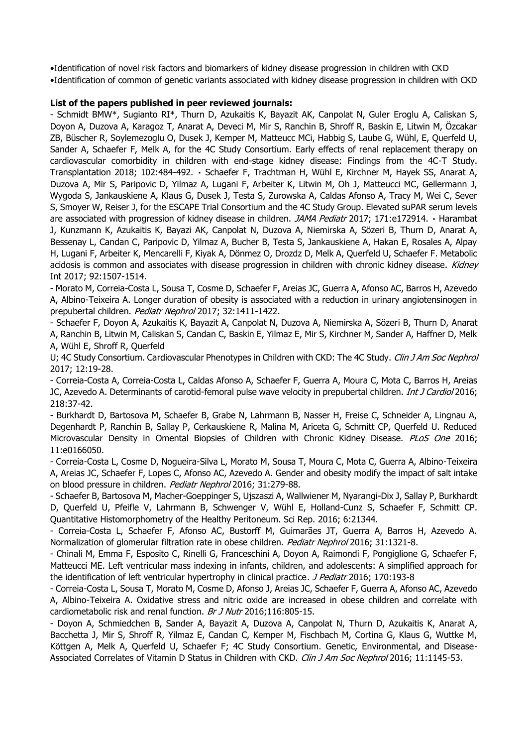•Identification of novel risk factors and biomarkers of kidney disease progression in children with CKD •Identification of common of genetic variants associated with kidney disease progression in children with CKD

#### **List of the papers published in peer reviewed journals:**

- Schmidt BMW\*, Sugianto RI\*, Thurn D, Azukaitis K, Bayazit AK, Canpolat N, Guler Eroglu A, Caliskan S, Doyon A, Duzova A, Karagoz T, Anarat A, Deveci M, Mir S, Ranchin B, Shroff R, Baskin E, Litwin M, Özcakar ZB, Büscher R, Soylemezoglu O, Dusek J, Kemper M, Matteucc MCi, Habbig S, Laube G, Wühl, E, Querfeld U, Sander A, Schaefer F, Melk A, for the 4C Study Consortium. Early effects of renal replacement therapy on cardiovascular comorbidity in children with end-stage kidney disease: Findings from the 4C-T Study. Transplantation 2018; 102:484-492. · Schaefer F, Trachtman H, Wühl E, Kirchner M, Hayek SS, Anarat A, Duzova A, Mir S, Paripovic D, Yilmaz A, Lugani F, Arbeiter K, Litwin M, Oh J, Matteucci MC, Gellermann J, Wygoda S, Jankauskiene A, Klaus G, Dusek J, Testa S, Zurowska A, Caldas Afonso A, Tracy M, Wei C, Sever S, Smoyer W, Reiser J, for the ESCAPE Trial Consortium and the 4C Study Group. Elevated suPAR serum levels are associated with progression of kidney disease in children. JAMA Pediatr 2017; 171:e172914. • Harambat J, Kunzmann K, Azukaitis K, Bayazi AK, Canpolat N, Duzova A, Niemirska A, Sözeri B, Thurn D, Anarat A, Bessenay L, Candan C, Paripovic D, Yilmaz A, Bucher B, Testa S, Jankauskiene A, Hakan E, Rosales A, Alpay H, Lugani F, Arbeiter K, Mencarelli F, Kiyak A, Dönmez O, Drozdz D, Melk A, Querfeld U, Schaefer F. Metabolic acidosis is common and associates with disease progression in children with chronic kidney disease. Kidney Int 2017; 92:1507-1514.

- Morato M, Correia-Costa L, Sousa T, Cosme D, Schaefer F, Areias JC, Guerra A, Afonso AC, Barros H, Azevedo A, Albino-Teixeira A. Longer duration of obesity is associated with a reduction in urinary angiotensinogen in prepubertal children. Pediatr Nephrol 2017; 32:1411-1422.

- Schaefer F, Doyon A, Azukaitis K, Bayazit A, Canpolat N, Duzova A, Niemirska A, Sözeri B, Thurn D, Anarat A, Ranchin B, Litwin M, Caliskan S, Candan C, Baskin E, Yilmaz E, Mir S, Kirchner M, Sander A, Haffner D, Melk A, Wühl E, Shroff R, Querfeld

U; 4C Study Consortium. Cardiovascular Phenotypes in Children with CKD: The 4C Study. Clin J Am Soc Nephrol 2017; 12:19-28.

- Correia-Costa A, Correia-Costa L, Caldas Afonso A, Schaefer F, Guerra A, Moura C, Mota C, Barros H, Areias JC, Azevedo A. Determinants of carotid-femoral pulse wave velocity in prepubertal children. *Int J Cardiol* 2016; 218:37-42.

- Burkhardt D, Bartosova M, Schaefer B, Grabe N, Lahrmann B, Nasser H, Freise C, Schneider A, Lingnau A, Degenhardt P, Ranchin B, Sallay P, Cerkauskiene R, Malina M, Ariceta G, Schmitt CP, Querfeld U. Reduced Microvascular Density in Omental Biopsies of Children with Chronic Kidney Disease. PLoS One 2016; 11:e0166050.

- Correia-Costa L, Cosme D, Nogueira-Silva L, Morato M, Sousa T, Moura C, Mota C, Guerra A, Albino-Teixeira A, Areias JC, Schaefer F, Lopes C, Afonso AC, Azevedo A. Gender and obesity modify the impact of salt intake on blood pressure in children. Pediatr Nephrol 2016; 31:279-88.

- Schaefer B, Bartosova M, Macher-Goeppinger S, Ujszaszi A, Wallwiener M, Nyarangi-Dix J, Sallay P, Burkhardt D, Querfeld U, Pfeifle V, Lahrmann B, Schwenger V, Wühl E, Holland-Cunz S, Schaefer F, Schmitt CP. Quantitative Histomorphometry of the Healthy Peritoneum. Sci Rep. 2016; 6:21344.

- Correia-Costa L, Schaefer F, Afonso AC, Bustorff M, Guimarães JT, Guerra A, Barros H, Azevedo A. Normalization of glomerular filtration rate in obese children. Pediatr Nephrol 2016; 31:1321-8.

- Chinali M, Emma F, Esposito C, Rinelli G, Franceschini A, Doyon A, Raimondi F, Pongiglione G, Schaefer F, Matteucci ME. Left ventricular mass indexing in infants, children, and adolescents: A simplified approach for the identification of left ventricular hypertrophy in clinical practice. *J Pediatr* 2016; 170:193-8

- Correia-Costa L, Sousa T, Morato M, Cosme D, Afonso J, Areias JC, Schaefer F, Guerra A, Afonso AC, Azevedo A, Albino-Teixeira A. Oxidative stress and nitric oxide are increased in obese children and correlate with cardiometabolic risk and renal function. Br J Nutr 2016;116:805-15.

- Doyon A, Schmiedchen B, Sander A, Bayazit A, Duzova A, Canpolat N, Thurn D, Azukaitis K, Anarat A, Bacchetta J, Mir S, Shroff R, Yilmaz E, Candan C, Kemper M, Fischbach M, Cortina G, Klaus G, Wuttke M, Köttgen A, Melk A, Querfeld U, Schaefer F; 4C Study Consortium. Genetic, Environmental, and Disease-Associated Correlates of Vitamin D Status in Children with CKD. Clin J Am Soc Nephrol 2016; 11:1145-53.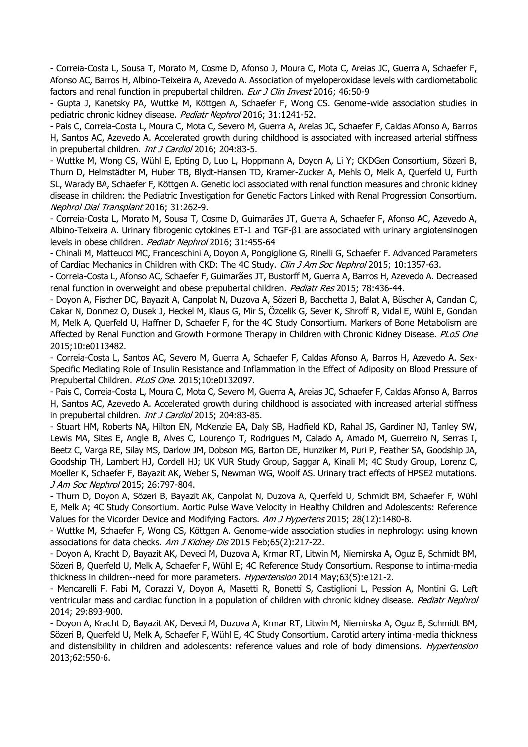- Correia-Costa L, Sousa T, Morato M, Cosme D, Afonso J, Moura C, Mota C, Areias JC, Guerra A, Schaefer F, Afonso AC, Barros H, Albino-Teixeira A, Azevedo A. Association of myeloperoxidase levels with cardiometabolic factors and renal function in prepubertal children. Eur J Clin Invest 2016; 46:50-9

- Gupta J, Kanetsky PA, Wuttke M, Köttgen A, Schaefer F, Wong CS. Genome-wide association studies in pediatric chronic kidney disease. Pediatr Nephrol 2016; 31:1241-52.

- Pais C, Correia-Costa L, Moura C, Mota C, Severo M, Guerra A, Areias JC, Schaefer F, Caldas Afonso A, Barros H, Santos AC, Azevedo A. Accelerated growth during childhood is associated with increased arterial stiffness in prepubertal children. *Int J Cardiol* 2016; 204:83-5.

- Wuttke M, Wong CS, Wühl E, Epting D, Luo L, Hoppmann A, Doyon A, Li Y; CKDGen Consortium, Sözeri B, Thurn D, Helmstädter M, Huber TB, Blydt-Hansen TD, Kramer-Zucker A, Mehls O, Melk A, Querfeld U, Furth SL, Warady BA, Schaefer F, Köttgen A. Genetic loci associated with renal function measures and chronic kidney disease in children: the Pediatric Investigation for Genetic Factors Linked with Renal Progression Consortium. Nephrol Dial Transplant 2016; 31:262-9.

- Correia-Costa L, Morato M, Sousa T, Cosme D, Guimarães JT, Guerra A, Schaefer F, Afonso AC, Azevedo A, Albino-Teixeira A. Urinary fibrogenic cytokines ET-1 and TGF-β1 are associated with urinary angiotensinogen levels in obese children. Pediatr Nephrol 2016; 31:455-64

- Chinali M, Matteucci MC, Franceschini A, Doyon A, Pongiglione G, Rinelli G, Schaefer F. Advanced Parameters of Cardiac Mechanics in Children with CKD: The 4C Study. Clin J Am Soc Nephrol 2015; 10:1357-63.

- Correia-Costa L, Afonso AC, Schaefer F, Guimarães JT, Bustorff M, Guerra A, Barros H, Azevedo A. Decreased renal function in overweight and obese prepubertal children. Pediatr Res 2015; 78:436-44.

- Doyon A, Fischer DC, Bayazit A, Canpolat N, Duzova A, Sözeri B, Bacchetta J, Balat A, Büscher A, Candan C, Cakar N, Donmez O, Dusek J, Heckel M, Klaus G, Mir S, Özcelik G, Sever K, Shroff R, Vidal E, Wühl E, Gondan M, Melk A, Querfeld U, Haffner D, Schaefer F, for the 4C Study Consortium. Markers of Bone Metabolism are Affected by Renal Function and Growth Hormone Therapy in Children with Chronic Kidney Disease. PLoS One 2015;10:e0113482.

- Correia-Costa L, Santos AC, Severo M, Guerra A, Schaefer F, Caldas Afonso A, Barros H, Azevedo A. Sex-Specific Mediating Role of Insulin Resistance and Inflammation in the Effect of Adiposity on Blood Pressure of Prepubertal Children. PLoS One. 2015;10:e0132097.

- Pais C, Correia-Costa L, Moura C, Mota C, Severo M, Guerra A, Areias JC, Schaefer F, Caldas Afonso A, Barros H, Santos AC, Azevedo A. Accelerated growth during childhood is associated with increased arterial stiffness in prepubertal children. *Int J Cardiol* 2015; 204:83-85.

- Stuart HM, Roberts NA, Hilton EN, McKenzie EA, Daly SB, Hadfield KD, Rahal JS, Gardiner NJ, Tanley SW, Lewis MA, Sites E, Angle B, Alves C, Lourenço T, Rodrigues M, Calado A, Amado M, Guerreiro N, Serras I, Beetz C, Varga RE, Silay MS, Darlow JM, Dobson MG, Barton DE, Hunziker M, Puri P, Feather SA, Goodship JA, Goodship TH, Lambert HJ, Cordell HJ; UK VUR Study Group, Saggar A, Kinali M; 4C Study Group, Lorenz C, Moeller K, Schaefer F, Bayazit AK, Weber S, Newman WG, Woolf AS. Urinary tract effects of HPSE2 mutations. J Am Soc Nephrol 2015; 26:797-804.

- Thurn D, Doyon A, Sözeri B, Bayazit AK, Canpolat N, Duzova A, Querfeld U, Schmidt BM, Schaefer F, Wühl E, Melk A; 4C Study Consortium. Aortic Pulse Wave Velocity in Healthy Children and Adolescents: Reference Values for the Vicorder Device and Modifying Factors. Am J Hypertens 2015; 28(12):1480-8.

- Wuttke M, Schaefer F, Wong CS, Köttgen A. Genome-wide association studies in nephrology: using known associations for data checks. Am J Kidney Dis 2015 Feb;65(2):217-22.

- Doyon A, Kracht D, Bayazit AK, Deveci M, Duzova A, Krmar RT, Litwin M, Niemirska A, Oguz B, Schmidt BM, Sözeri B, Querfeld U, Melk A, Schaefer F, Wühl E; 4C Reference Study Consortium. Response to intima-media thickness in children--need for more parameters. Hypertension 2014 May;63(5):e121-2.

- Mencarelli F, Fabi M, Corazzi V, Doyon A, Masetti R, Bonetti S, Castiglioni L, Pession A, Montini G. Left ventricular mass and cardiac function in a population of children with chronic kidney disease. Pediatr Nephrol 2014; 29:893-900.

- Doyon A, Kracht D, Bayazit AK, Deveci M, Duzova A, Krmar RT, Litwin M, Niemirska A, Oguz B, Schmidt BM, Sözeri B, Querfeld U, Melk A, Schaefer F, Wühl E, 4C Study Consortium. Carotid artery intima-media thickness and distensibility in children and adolescents: reference values and role of body dimensions. *Hypertension* 2013;62:550-6.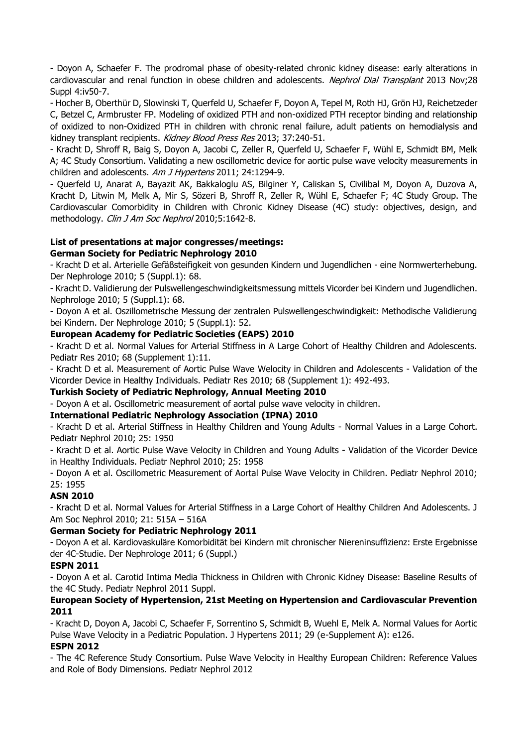- Doyon A, Schaefer F. The prodromal phase of obesity-related chronic kidney disease: early alterations in cardiovascular and renal function in obese children and adolescents. Nephrol Dial Transplant 2013 Nov;28 Suppl 4:iv50-7.

- Hocher B, Oberthür D, Slowinski T, Querfeld U, Schaefer F, Doyon A, Tepel M, Roth HJ, Grön HJ, Reichetzeder C, Betzel C, Armbruster FP. Modeling of oxidized PTH and non-oxidized PTH receptor binding and relationship of oxidized to non-Oxidized PTH in children with chronic renal failure, adult patients on hemodialysis and kidney transplant recipients. Kidney Blood Press Res 2013; 37:240-51.

- Kracht D, Shroff R, Baig S, Doyon A, Jacobi C, Zeller R, Querfeld U, Schaefer F, Wühl E, Schmidt BM, Melk A; 4C Study Consortium. Validating a new oscillometric device for aortic pulse wave velocity measurements in children and adolescents. Am J Hypertens 2011; 24:1294-9.

- Querfeld U, Anarat A, Bayazit AK, Bakkaloglu AS, Bilginer Y, Caliskan S, Civilibal M, Doyon A, Duzova A, Kracht D, Litwin M, Melk A, Mir S, Sözeri B, Shroff R, Zeller R, Wühl E, Schaefer F; 4C Study Group. The Cardiovascular Comorbidity in Children with Chronic Kidney Disease (4C) study: objectives, design, and methodology. Clin J Am Soc Nephrol 2010;5:1642-8.

## **List of presentations at major congresses/meetings:**

### **German Society for Pediatric Nephrology 2010**

- Kracht D et al. Arterielle Gefäßsteifigkeit von gesunden Kindern und Jugendlichen - eine Normwerterhebung. Der Nephrologe 2010; 5 (Suppl.1): 68.

- Kracht D. Validierung der Pulswellengeschwindigkeitsmessung mittels Vicorder bei Kindern und Jugendlichen. Nephrologe 2010; 5 (Suppl.1): 68.

- Doyon A et al. Oszillometrische Messung der zentralen Pulswellengeschwindigkeit: Methodische Validierung bei Kindern. Der Nephrologe 2010; 5 (Suppl.1): 52.

### **European Academy for Pediatric Societies (EAPS) 2010**

- Kracht D et al. Normal Values for Arterial Stiffness in A Large Cohort of Healthy Children and Adolescents. Pediatr Res 2010; 68 (Supplement 1):11.

- Kracht D et al. Measurement of Aortic Pulse Wave Welocity in Children and Adolescents - Validation of the Vicorder Device in Healthy Individuals. Pediatr Res 2010; 68 (Supplement 1): 492-493.

**Turkish Society of Pediatric Nephrology, Annual Meeting 2010**

- Doyon A et al. Oscillometric measurement of aortal pulse wave velocity in children.

## **International Pediatric Nephrology Association (IPNA) 2010**

- Kracht D et al. Arterial Stiffness in Healthy Children and Young Adults - Normal Values in a Large Cohort. Pediatr Nephrol 2010; 25: 1950

- Kracht D et al. Aortic Pulse Wave Velocity in Children and Young Adults - Validation of the Vicorder Device in Healthy Individuals. Pediatr Nephrol 2010; 25: 1958

- Doyon A et al. Oscillometric Measurement of Aortal Pulse Wave Velocity in Children. Pediatr Nephrol 2010; 25: 1955

## **ASN 2010**

- Kracht D et al. Normal Values for Arterial Stiffness in a Large Cohort of Healthy Children And Adolescents. J Am Soc Nephrol 2010; 21: 515A – 516A

## **German Society for Pediatric Nephrology 2011**

- Doyon A et al. Kardiovaskuläre Komorbidität bei Kindern mit chronischer Niereninsuffizienz: Erste Ergebnisse der 4C-Studie. Der Nephrologe 2011; 6 (Suppl.)

## **ESPN 2011**

- Doyon A et al. Carotid Intima Media Thickness in Children with Chronic Kidney Disease: Baseline Results of the 4C Study. Pediatr Nephrol 2011 Suppl.

### **European Society of Hypertension, 21st Meeting on Hypertension and Cardiovascular Prevention 2011**

- Kracht D, Doyon A, Jacobi C, Schaefer F, Sorrentino S, Schmidt B, Wuehl E, Melk A. Normal Values for Aortic Pulse Wave Velocity in a Pediatric Population. J Hypertens 2011; 29 (e-Supplement A): e126.

## **ESPN 2012**

- The 4C Reference Study Consortium. Pulse Wave Velocity in Healthy European Children: Reference Values and Role of Body Dimensions. Pediatr Nephrol 2012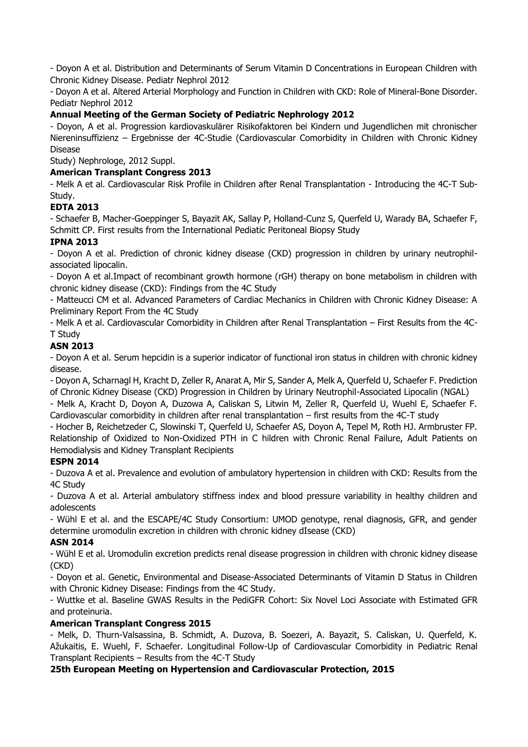- Doyon A et al. Distribution and Determinants of Serum Vitamin D Concentrations in European Children with Chronic Kidney Disease. Pediatr Nephrol 2012

- Doyon A et al. Altered Arterial Morphology and Function in Children with CKD: Role of Mineral-Bone Disorder. Pediatr Nephrol 2012

## **Annual Meeting of the German Society of Pediatric Nephrology 2012**

- Doyon, A et al. Progression kardiovaskulärer Risikofaktoren bei Kindern und Jugendlichen mit chronischer Niereninsuffizienz – Ergebnisse der 4C-Studie (Cardiovascular Comorbidity in Children with Chronic Kidney Disease

Study) Nephrologe, 2012 Suppl.

## **American Transplant Congress 2013**

- Melk A et al. Cardiovascular Risk Profile in Children after Renal Transplantation - Introducing the 4C-T Sub-Study.

# **EDTA 2013**

- Schaefer B, Macher-Goeppinger S, Bayazit AK, Sallay P, Holland-Cunz S, Querfeld U, Warady BA, Schaefer F, Schmitt CP. First results from the International Pediatic Peritoneal Biopsy Study

# **IPNA 2013**

- Doyon A et al. Prediction of chronic kidney disease (CKD) progression in children by urinary neutrophilassociated lipocalin.

- Doyon A et al.Impact of recombinant growth hormone (rGH) therapy on bone metabolism in children with chronic kidney disease (CKD): Findings from the 4C Study

- Matteucci CM et al. Advanced Parameters of Cardiac Mechanics in Children with Chronic Kidney Disease: A Preliminary Report From the 4C Study

- Melk A et al. Cardiovascular Comorbidity in Children after Renal Transplantation – First Results from the 4C-T Study

## **ASN 2013**

- Doyon A et al. Serum hepcidin is a superior indicator of functional iron status in children with chronic kidney disease.

- Doyon A, Scharnagl H, Kracht D, Zeller R, Anarat A, Mir S, Sander A, Melk A, Querfeld U, Schaefer F. Prediction of Chronic Kidney Disease (CKD) Progression in Children by Urinary Neutrophil-Associated Lipocalin (NGAL)

- Melk A, Kracht D, Doyon A, Duzowa A, Caliskan S, Litwin M, Zeller R, Querfeld U, Wuehl E, Schaefer F. Cardiovascular comorbidity in children after renal transplantation – first results from the 4C-T study

- Hocher B, Reichetzeder C, Slowinski T, Querfeld U, Schaefer AS, Doyon A, Tepel M, Roth HJ. Armbruster FP. Relationship of Oxidized to Non-Oxidized PTH in C hildren with Chronic Renal Failure, Adult Patients on Hemodialysis and Kidney Transplant Recipients

## **ESPN 2014**

- Duzova A et al. Prevalence and evolution of ambulatory hypertension in children with CKD: Results from the 4C Study

- Duzova A et al. Arterial ambulatory stiffness index and blood pressure variability in healthy children and adolescents

- Wühl E et al. and the ESCAPE/4C Study Consortium: UMOD genotype, renal diagnosis, GFR, and gender determine uromodulin excretion in children with chronic kidney dIsease (CKD)

# **ASN 2014**

- Wühl E et al. Uromodulin excretion predicts renal disease progression in children with chronic kidney disease (CKD)

- Doyon et al. Genetic, Environmental and Disease-Associated Determinants of Vitamin D Status in Children with Chronic Kidney Disease: Findings from the 4C Study.

- Wuttke et al. Baseline GWAS Results in the PediGFR Cohort: Six Novel Loci Associate with Estimated GFR and proteinuria.

## **American Transplant Congress 2015**

- Melk, D. Thurn-Valsassina, B. Schmidt, A. Duzova, B. Soezeri, A. Bayazit, S. Caliskan, U. Querfeld, K. Ažukaitis, E. Wuehl, F. Schaefer. Longitudinal Follow-Up of Cardiovascular Comorbidity in Pediatric Renal Transplant Recipients – Results from the 4C-T Study

## **25th European Meeting on Hypertension and Cardiovascular Protection, 2015**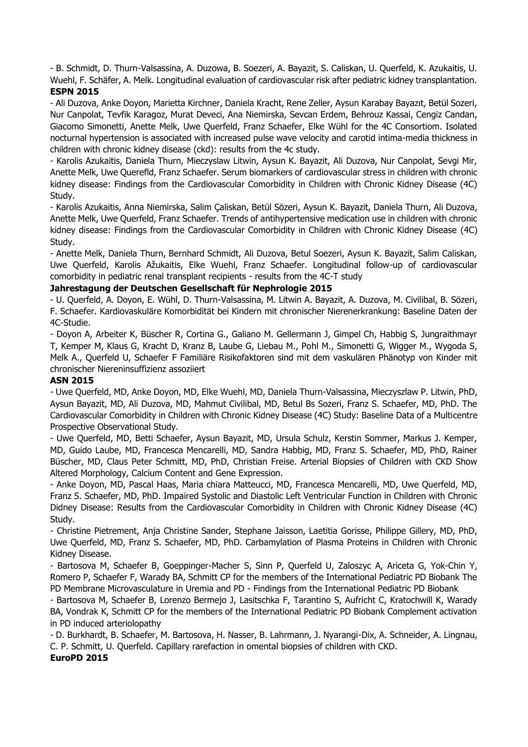- B. Schmidt, D. Thurn-Valsassina, A. Duzowa, B. Soezeri, A. Bayazit, S. Caliskan, U. Querfeld, K. Azukaitis, U. Wuehl, F. Schäfer, A. Melk. Longitudinal evaluation of cardiovascular risk after pediatric kidney transplantation. **ESPN 2015**

- Ali Duzova, Anke Doyon, Marietta Kirchner, Daniela Kracht, Rene Zeller, Aysun Karabay Bayazıt, Betül Sozeri, Nur Canpolat, Tevfik Karagoz, Murat Deveci, Ana Niemirska, Sevcan Erdem, Behrouz Kassai, Cengiz Candan, Giacomo Simonetti, Anette Melk, Uwe Querfeld, Franz Schaefer, Elke Wühl for the 4C Consortiom. Isolated nocturnal hypertension is associated with increased pulse wave velocity and carotid intima-media thickness in children with chronic kidney disease (ckd): results from the 4c study.

- Karolis Azukaitis, Daniela Thurn, Mieczyslaw Litwin, Aysun K. Bayazit, Ali Duzova, Nur Canpolat, Sevgi Mir, Anette Melk, Uwe Querefld, Franz Schaefer. Serum biomarkers of cardiovascular stress in children with chronic kidney disease: Findings from the Cardiovascular Comorbidity in Children with Chronic Kidney Disease (4C) Study.

- Karolis Azukaitis, Anna Niemirska, Salim Çaliskan, Betül Sözeri, Aysun K. Bayazit, Daniela Thurn, Ali Duzova, Anette Melk, Uwe Querfeld, Franz Schaefer. Trends of antihypertensive medication use in children with chronic kidney disease: Findings from the Cardiovascular Comorbidity in Children with Chronic Kidney Disease (4C) Study.

- Anette Melk, Daniela Thurn, Bernhard Schmidt, Ali Duzova, Betul Soezeri, Aysun K. Bayazit, Salim Caliskan, Uwe Querfeld, Karolis Ažukaitis, Elke Wuehl, Franz Schaefer. Longitudinal follow-up of cardiovascular comorbidity in pediatric renal transplant recipients - results from the 4C-T study

## **Jahrestagung der Deutschen Gesellschaft für Nephrologie 2015**

- U. Querfeld, A. Doyon, E. Wühl, D. Thurn-Valsassina, M. Litwin A. Bayazit, A. Duzova, M. Civilibal, B. Sözeri, F. Schaefer. Kardiovaskuläre Komorbidität bei Kindern mit chronischer Nierenerkrankung: Baseline Daten der 4C-Studie.

- Doyon A, Arbeiter K, Büscher R, Cortina G., Galiano M. Gellermann J, Gimpel Ch, Habbig S, Jungraithmayr T, Kemper M, Klaus G, Kracht D, Kranz B, Laube G, Liebau M., Pohl M., Simonetti G, Wigger M., Wygoda S, Melk A., Querfeld U, Schaefer F Familiäre Risikofaktoren sind mit dem vaskulären Phänotyp von Kinder mit chronischer Niereninsuffizienz assoziiert

#### **ASN 2015**

- Uwe Querfeld, MD, Anke Doyon, MD, Elke Wuehl, MD, Daniela Thurn-Valsassina, Mieczyszlaw P. Litwin, PhD, Aysun Bayazit, MD, Ali Duzova, MD, Mahmut Civilibal, MD, Betul Bs Sozeri, Franz S. Schaefer, MD, PhD. The Cardiovascular Comorbidity in Children with Chronic Kidney Disease (4C) Study: Baseline Data of a Multicentre Prospective Observational Study.

- Uwe Querfeld, MD, Betti Schaefer, Aysun Bayazit, MD, Ursula Schulz, Kerstin Sommer, Markus J. Kemper, MD, Guido Laube, MD, Francesca Mencarelli, MD, Sandra Habbig, MD, Franz S. Schaefer, MD, PhD, Rainer Büscher, MD, Claus Peter Schmitt, MD, PhD, Christian Freise. Arterial Biopsies of Children with CKD Show Altered Morphology, Calcium Content and Gene Expression.

- Anke Doyon, MD, Pascal Haas, Maria chiara Matteucci, MD, Francesca Mencarelli, MD, Uwe Querfeld, MD, Franz S. Schaefer, MD, PhD. Impaired Systolic and Diastolic Left Ventricular Function in Children with Chronic Didney Disease: Results from the Cardiovascular Comorbidity in Children with Chronic Kidney Disease (4C) Study.

- Christine Pietrement, Anja Christine Sander, Stephane Jaisson, Laetitia Gorisse, Philippe Gillery, MD, PhD, Uwe Querfeld, MD, Franz S. Schaefer, MD, PhD. Carbamylation of Plasma Proteins in Children with Chronic Kidney Disease.

- Bartosova M, Schaefer B, Goeppinger-Macher S, Sinn P, Querfeld U, Zaloszyc A, Ariceta G, Yok-Chin Y, Romero P, Schaefer F, Warady BA, Schmitt CP for the members of the International Pediatric PD Biobank The PD Membrane Microvasculature in Uremia and PD - Findings from the International Pediatric PD Biobank

- Bartosova M, Schaefer B, Lorenzo Bermejo J, Lasitschka F, Tarantino S, Aufricht C, Kratochwill K, Warady BA, Vondrak K, Schmitt CP for the members of the International Pediatric PD Biobank Complement activation in PD induced arteriolopathy

- D. Burkhardt, B. Schaefer, M. Bartosova, H. Nasser, B. Lahrmann, J. Nyarangi-Dix, A. Schneider, A. Lingnau, C. P. Schmitt, U. Querfeld. Capillary rarefaction in omental biopsies of children with CKD.

**EuroPD 2015**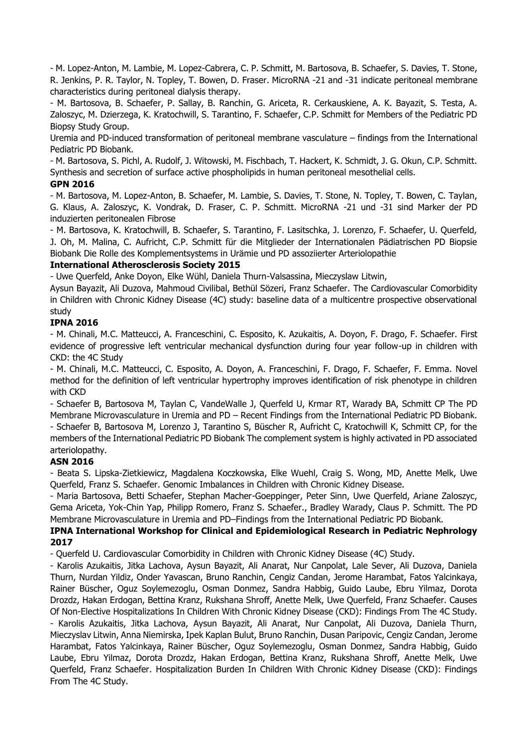- M. Lopez-Anton, M. Lambie, M. Lopez-Cabrera, C. P. Schmitt, M. Bartosova, B. Schaefer, S. Davies, T. Stone, R. Jenkins, P. R. Taylor, N. Topley, T. Bowen, D. Fraser. MicroRNA -21 and -31 indicate peritoneal membrane characteristics during peritoneal dialysis therapy.

- M. Bartosova, B. Schaefer, P. Sallay, B. Ranchin, G. Ariceta, R. Cerkauskiene, A. K. Bayazit, S. Testa, A. Zaloszyc, M. Dzierzega, K. Kratochwill, S. Tarantino, F. Schaefer, C.P. Schmitt for Members of the Pediatric PD Biopsy Study Group.

Uremia and PD-induced transformation of peritoneal membrane vasculature – findings from the International Pediatric PD Biobank.

- M. Bartosova, S. Pichl, A. Rudolf, J. Witowski, M. Fischbach, T. Hackert, K. Schmidt, J. G. Okun, C.P. Schmitt. Synthesis and secretion of surface active phospholipids in human peritoneal mesothelial cells.

### **GPN 2016**

- M. Bartosova, M. Lopez-Anton, B. Schaefer, M. Lambie, S. Davies, T. Stone, N. Topley, T. Bowen, C. Taylan, G. Klaus, A. Zaloszyc, K. Vondrak, D. Fraser, C. P. Schmitt. MicroRNA -21 und -31 sind Marker der PD induzierten peritonealen Fibrose

- M. Bartosova, K. Kratochwill, B. Schaefer, S. Tarantino, F. Lasitschka, J. Lorenzo, F. Schaefer, U. Querfeld, J. Oh, M. Malina, C. Aufricht, C.P. Schmitt für die Mitglieder der Internationalen Pädiatrischen PD Biopsie Biobank Die Rolle des Komplementsystems in Urämie und PD assoziierter Arteriolopathie

### **International Atherosclerosis Society 2015**

- Uwe Querfeld, Anke Doyon, Elke Wühl, Daniela Thurn-Valsassina, Mieczyslaw Litwin,

Aysun Bayazit, Ali Duzova, Mahmoud Civilibal, Bethül Sözeri, Franz Schaefer. The Cardiovascular Comorbidity in Children with Chronic Kidney Disease (4C) study: baseline data of a multicentre prospective observational study

## **IPNA 2016**

- M. Chinali, M.C. Matteucci, A. Franceschini, C. Esposito, K. Azukaitis, A. Doyon, F. Drago, F. Schaefer. First evidence of progressive left ventricular mechanical dysfunction during four year follow-up in children with CKD: the 4C Study

- M. Chinali, M.C. Matteucci, C. Esposito, A. Doyon, A. Franceschini, F. Drago, F. Schaefer, F. Emma. Novel method for the definition of left ventricular hypertrophy improves identification of risk phenotype in children with CKD

- Schaefer B, Bartosova M, Taylan C, VandeWalle J, Querfeld U, Krmar RT, Warady BA, Schmitt CP The PD Membrane Microvasculature in Uremia and PD – Recent Findings from the International Pediatric PD Biobank. - Schaefer B, Bartosova M, Lorenzo J, Tarantino S, Büscher R, Aufricht C, Kratochwill K, Schmitt CP, for the members of the International Pediatric PD Biobank The complement system is highly activated in PD associated arteriolopathy.

## **ASN 2016**

- Beata S. Lipska-Zietkiewicz, Magdalena Koczkowska, Elke Wuehl, Craig S. Wong, MD, Anette Melk, Uwe Querfeld, Franz S. Schaefer. Genomic Imbalances in Children with Chronic Kidney Disease.

- Maria Bartosova, Betti Schaefer, Stephan Macher-Goeppinger, Peter Sinn, Uwe Querfeld, Ariane Zaloszyc, Gema Ariceta, Yok-Chin Yap, Philipp Romero, Franz S. Schaefer., Bradley Warady, Claus P. Schmitt. The PD Membrane Microvasculature in Uremia and PD–Findings from the International Pediatric PD Biobank.

### **IPNA International Workshop for Clinical and Epidemiological Research in Pediatric Nephrology 2017**

- Querfeld U. Cardiovascular Comorbidity in Children with Chronic Kidney Disease (4C) Study.

- Karolis Azukaitis, Jitka Lachova, Aysun Bayazit, Ali Anarat, Nur Canpolat, Lale Sever, Ali Duzova, Daniela Thurn, Nurdan Yildiz, Onder Yavascan, Bruno Ranchin, Cengiz Candan, Jerome Harambat, Fatos Yalcinkaya, Rainer Büscher, Oguz Soylemezoglu, Osman Donmez, Sandra Habbig, Guido Laube, Ebru Yilmaz, Dorota Drozdz, Hakan Erdogan, Bettina Kranz, Rukshana Shroff, Anette Melk, Uwe Querfeld, Franz Schaefer. Causes Of Non-Elective Hospitalizations In Children With Chronic Kidney Disease (CKD): Findings From The 4C Study.

- Karolis Azukaitis, Jitka Lachova, Aysun Bayazit, Ali Anarat, Nur Canpolat, Ali Duzova, Daniela Thurn, Mieczyslav Litwin, Anna Niemirska, Ipek Kaplan Bulut, Bruno Ranchin, Dusan Paripovic, Cengiz Candan, Jerome Harambat, Fatos Yalcinkaya, Rainer Büscher, Oguz Soylemezoglu, Osman Donmez, Sandra Habbig, Guido Laube, Ebru Yilmaz, Dorota Drozdz, Hakan Erdogan, Bettina Kranz, Rukshana Shroff, Anette Melk, Uwe Querfeld, Franz Schaefer. Hospitalization Burden In Children With Chronic Kidney Disease (CKD): Findings From The 4C Study.